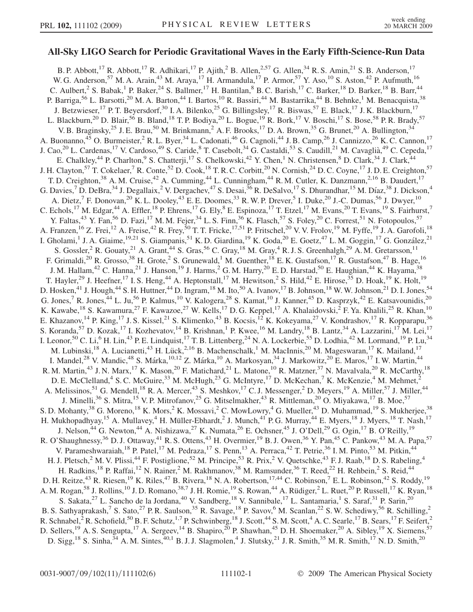## All-Sky LIGO Search for Periodic Gravitational Waves in the Early Fifth-Science-Run Data

B. P. Abbott,<sup>17</sup> R. Abbott,<sup>17</sup> R. Adhikari,<sup>17</sup> P. Ajith,<sup>2</sup> B. Allen,<sup>2,57</sup> G. Allen,<sup>34</sup> R. S. Amin,<sup>21</sup> S. B. Anderson,<sup>17</sup> W. G. Anderson,<sup>57</sup> M. A. Arain,<sup>43</sup> M. Araya,<sup>17</sup> H. Armandula,<sup>17</sup> P. Armor,<sup>57</sup> Y. Aso,<sup>10</sup> S. Aston,<sup>42</sup> P. Aufmuth,<sup>16</sup> C. Aulbert, <sup>2</sup> S. Babak,<sup>1</sup> P. Baker, <sup>24</sup> S. Ballmer,<sup>17</sup> H. Bantilan, <sup>8</sup> B.C. Barish,<sup>17</sup> C. Barker,<sup>18</sup> D. Barker,<sup>18</sup> B. Barr,<sup>44</sup> P. Barriga,<sup>56</sup> L. Barsotti,<sup>20</sup> M. A. Barton,<sup>44</sup> I. Bartos,<sup>10</sup> R. Bassiri,<sup>44</sup> M. Bastarrika,<sup>44</sup> B. Behnke,<sup>1</sup> M. Benacquista,<sup>38</sup> J. Betzwieser,<sup>17</sup> P. T. Beyersdorf,<sup>30</sup> I. A. Bilenko,<sup>25</sup> G. Billingsley,<sup>17</sup> R. Biswas,<sup>57</sup> E. Black,<sup>17</sup> J. K. Blackburn,<sup>17</sup> L. Blackburn,<sup>20</sup> D. Blair,<sup>56</sup> B. Bland,<sup>18</sup> T. P. Bodiya,<sup>20</sup> L. Bogue,<sup>19</sup> R. Bork,<sup>17</sup> V. Boschi,<sup>17</sup> S. Bose,<sup>58</sup> P. R. Brady,<sup>57</sup> V. B. Braginsky,<sup>25</sup> J. E. Brau,<sup>50</sup> M. Brinkmann,<sup>2</sup> A. F. Brooks,<sup>17</sup> D. A. Brown,<sup>35</sup> G. Brunet,<sup>20</sup> A. Bullington,<sup>34</sup> A. Buonanno,<sup>45</sup> O. Burmeister,<sup>2</sup> R. L. Byer,<sup>34</sup> L. Cadonati,<sup>46</sup> G. Cagnoli,<sup>44</sup> J. B. Camp,<sup>26</sup> J. Cannizzo,<sup>26</sup> K. C. Cannon,<sup>17</sup> J. Cao,<sup>20</sup> L. Cardenas,<sup>17</sup> V. Cardoso,<sup>49</sup> S. Caride, <sup>8</sup> T. Casebolt,<sup>34</sup> G. Castaldi,<sup>53</sup> S. Caudill,<sup>21</sup> M. Cavaglià,<sup>49</sup> C. Cepeda,<sup>17</sup> E. Chalkley,<sup>44</sup> P. Charlton,<sup>9</sup> S. Chatterji,<sup>17</sup> S. Chelkowski,<sup>42</sup> Y. Chen,<sup>1</sup> N. Christensen,<sup>8</sup> D. Clark,<sup>34</sup> J. Clark,<sup>44</sup> J. H. Clayton,<sup>57</sup> T. Cokelaer,<sup>7</sup> R. Conte,<sup>52</sup> D. Cook,<sup>18</sup> T. R. C. Corbitt,<sup>20</sup> N. Cornish,<sup>24</sup> D. C. Coyne,<sup>17</sup> J. D. E. Creighton,<sup>57</sup> T. D. Creighton,<sup>38</sup> A. M. Cruise,<sup>42</sup> A. Cumming,<sup>44</sup> L. Cunningham,<sup>44</sup> R. M. Cutler, K. Danzmann,<sup>2,16</sup> B. Daudert,<sup>17</sup> G. Davies,<sup>7</sup> D. DeBra,<sup>34</sup> J. Degallaix,<sup>2</sup> V. Dergachev,<sup>47</sup> S. Desai,<sup>36</sup> R. DeSalvo,<sup>17</sup> S. Dhurandhar,<sup>15</sup> M. Díaz,<sup>38</sup> J. Dickson,<sup>4</sup> A. Dietz,<sup>7</sup> F. Donovan,<sup>20</sup> K. L. Dooley,<sup>43</sup> E. E. Doomes,<sup>33</sup> R. W. P. Drever,<sup>5</sup> I. Duke,<sup>20</sup> J.-C. Dumas,<sup>56</sup> J. Dwyer,<sup>10</sup> C. Echols,<sup>17</sup> M. Edgar,<sup>44</sup> A. Effler,<sup>18</sup> P. Ehrens,<sup>17</sup> G. Ely,<sup>8</sup> E. Espinoza,<sup>17</sup> T. Etzel,<sup>17</sup> M. Evans,<sup>20</sup> T. Evans,<sup>19</sup> S. Fairhurst,<sup>7</sup> Y. Faltas,<sup>43</sup> Y. Fan,<sup>56</sup> D. Fazi,<sup>17</sup> M. M. Fejer,<sup>34</sup> L. S. Finn,<sup>36</sup> K. Flasch,<sup>57</sup> S. Foley,<sup>20</sup> C. Forrest,<sup>51</sup> N. Fotopoulos,<sup>57</sup> A. Franzen,<sup>16</sup> Z. Frei,<sup>12</sup> A. Freise,<sup>42</sup> R. Frey,<sup>50</sup> T. T. Fricke,<sup>17,51</sup> P. Fritschel,<sup>20</sup> V. V. Frolov,<sup>19</sup> M. Fyffe,<sup>19</sup> J. A. Garofoli,<sup>18</sup> I. Gholami,<sup>1</sup> J. A. Giaime,<sup>19,21</sup> S. Giampanis,<sup>51</sup> K. D. Giardina,<sup>19</sup> K. Goda,<sup>20</sup> E. Goetz,<sup>47</sup> L. M. Goggin,<sup>17</sup> G. González,<sup>21</sup> S. Gossler,<sup>2</sup> R. Gouaty,<sup>21</sup> A. Grant,<sup>44</sup> S. Gras,<sup>56</sup> C. Gray,<sup>18</sup> M. Gray,<sup>4</sup> R. J. S. Greenhalgh,<sup>29</sup> A. M. Gretarsson,<sup>11</sup> F. Grimaldi,<sup>20</sup> R. Grosso,<sup>38</sup> H. Grote,<sup>2</sup> S. Grunewald,<sup>1</sup> M. Guenther,<sup>18</sup> E. K. Gustafson,<sup>17</sup> R. Gustafson,<sup>47</sup> B. Hage,<sup>16</sup> J. M. Hallam,<sup>42</sup> C. Hanna,<sup>21</sup> J. Hanson,<sup>19</sup> J. Harms,<sup>2</sup> G. M. Harry,<sup>20</sup> E. D. Harstad,<sup>50</sup> E. Haughian,<sup>44</sup> K. Hayama,<sup>38</sup> T. Hayler,<sup>29</sup> J. Heefner,<sup>17</sup> I. S. Heng,<sup>44</sup> A. Heptonstall,<sup>17</sup> M. Hewitson,<sup>2</sup> S. Hild,<sup>42</sup> E. Hirose,<sup>35</sup> D. Hoak,<sup>19</sup> K. Holt,<sup>19</sup> D. Hosken,<sup>41</sup> J. Hough,<sup>44</sup> S. H. Huttner,<sup>44</sup> D. Ingram,<sup>18</sup> M. Ito,<sup>50</sup> A. Ivanov,<sup>17</sup> B. Johnson,<sup>18</sup> W. W. Johnson,<sup>21</sup> D. I. Jones,<sup>54</sup> G. Jones,<sup>7</sup> R. Jones,<sup>44</sup> L. Ju,<sup>56</sup> P. Kalmus,<sup>10</sup> V. Kalogera,<sup>28</sup> S. Kamat,<sup>10</sup> J. Kanner,<sup>45</sup> D. Kasprzyk,<sup>42</sup> E. Katsavounidis,<sup>20</sup> K. Kawabe,<sup>18</sup> S. Kawamura,<sup>27</sup> F. Kawazoe,<sup>27</sup> W. Kells,<sup>17</sup> D. G. Keppel,<sup>17</sup> A. Khalaidovski,<sup>2</sup> F. Ya. Khalili,<sup>25</sup> R. Khan,<sup>10</sup> E. Khazanov,<sup>14</sup> P. King,<sup>17</sup> J. S. Kissel,<sup>21</sup> S. Klimenko,<sup>43</sup> B. Kocsis,<sup>12</sup> K. Kokeyama,<sup>27</sup> V. Kondrashov,<sup>17</sup> R. Kopparapu,<sup>36</sup> S. Koranda,<sup>57</sup> D. Kozak,<sup>17</sup> I. Kozhevatov,<sup>14</sup> B. Krishnan,<sup>1</sup> P. Kwee,<sup>16</sup> M. Landry,<sup>18</sup> B. Lantz,<sup>34</sup> A. Lazzarini,<sup>17</sup> M. Lei,<sup>17</sup> I. Leonor,<sup>50</sup> C. Li,<sup>6</sup> H. Lin,<sup>43</sup> P. E. Lindquist,<sup>17</sup> T. B. Littenberg,<sup>24</sup> N. A. Lockerbie,<sup>55</sup> D. Lodhia,<sup>42</sup> M. Lormand,<sup>19</sup> P. Lu,<sup>34</sup> M. Lubinski,<sup>18</sup> A. Lucianetti,<sup>43</sup> H. Lück,<sup>2,16</sup> B. Machenschalk,<sup>1</sup> M. MacInnis,<sup>20</sup> M. Mageswaran,<sup>17</sup> K. Mailand,<sup>17</sup> I. Mandel,<sup>28</sup> V. Mandic,<sup>48</sup> S. Márka,<sup>10,12</sup> Z. Márka,<sup>10</sup> A. Markosyan,<sup>34</sup> J. Markowitz,<sup>20</sup> E. Maros,<sup>17</sup> I. W. Martin,<sup>44</sup> R. M. Martin,<sup>43</sup> J. N. Marx,<sup>17</sup> K. Mason,<sup>20</sup> F. Matichard,<sup>21</sup> L. Matone,<sup>10</sup> R. Matzner,<sup>37</sup> N. Mavalvala,<sup>20</sup> R. McCarthy,<sup>18</sup> D. E. McClelland,<sup>4</sup> S. C. McGuire,<sup>33</sup> M. McHugh,<sup>23</sup> G. McIntyre,<sup>17</sup> D. McKechan,<sup>7</sup> K. McKenzie,<sup>4</sup> M. Mehmet,<sup>2</sup> A. Melissinos,<sup>51</sup> G. Mendell,<sup>18</sup> R. A. Mercer,<sup>43</sup> S. Meshkov,<sup>17</sup> C. J. Messenger,<sup>2</sup> D. Meyers,<sup>19</sup> A. Miller,<sup>57</sup> J. Miller,<sup>44</sup> J. Minelli,<sup>36</sup> S. Mitra,<sup>15</sup> V. P. Mitrofanov,<sup>25</sup> G. Mitselmakher,<sup>43</sup> R. Mittleman,<sup>20</sup> O. Miyakawa,<sup>17</sup> B. Moe,<sup>57</sup> S. D. Mohanty,<sup>38</sup> G. Moreno,<sup>18</sup> K. Mors,<sup>2</sup> K. Mossavi,<sup>2</sup> C. MowLowry,<sup>4</sup> G. Mueller,<sup>43</sup> D. Muhammad,<sup>19</sup> S. Mukherjee,<sup>38</sup> H. Mukhopadhyay,<sup>15</sup> A. Mullavey,<sup>4</sup> H. Müller-Ebhardt,<sup>2</sup> J. Munch,<sup>41</sup> P. G. Murray,<sup>44</sup> E. Myers,<sup>18</sup> J. Myers,<sup>18</sup> T. Nash,<sup>17</sup> J. Nelson,<sup>44</sup> G. Newton,<sup>44</sup> A. Nishizawa,<sup>27</sup> K. Numata,<sup>26</sup> E. Ochsner,<sup>45</sup> J. O'Dell,<sup>29</sup> G. Ogin,<sup>17</sup> B. O'Reilly,<sup>19</sup> R. O'Shaughnessy,<sup>36</sup> D. J. Ottaway,<sup>41</sup> R. S. Ottens,<sup>43</sup> H. Overmier,<sup>19</sup> B. J. Owen,<sup>36</sup> Y. Pan,<sup>45</sup> C. Pankow,<sup>43</sup> M. A. Papa,<sup>57</sup> V. Parameshwaraiah,<sup>18</sup> P. Patel,<sup>17</sup> M. Pedraza,<sup>17</sup> S. Penn,<sup>13</sup> A. Perraca,<sup>42</sup> T. Petrie,<sup>36</sup> I. M. Pinto,<sup>53</sup> M. Pitkin,<sup>44</sup> H. J. Pletsch,<sup>2</sup> M. V. Plissi,<sup>44</sup> F. Postiglione,<sup>52</sup> M. Principe,<sup>53</sup> R. Prix,<sup>2</sup> V. Quetschke,<sup>43</sup> F. J. Raab,<sup>18</sup> D. S. Rabeling,<sup>4</sup> H. Radkins,<sup>18</sup> P. Raffai,<sup>12</sup> N. Rainer,<sup>2</sup> M. Rakhmanov,<sup>38</sup> M. Ramsunder,<sup>36</sup> T. Reed,<sup>22</sup> H. Rehbein,<sup>2</sup> S. Reid,<sup>44</sup> D. H. Reitze,<sup>43</sup> R. Riesen,<sup>19</sup> K. Riles,<sup>47</sup> B. Rivera,<sup>18</sup> N. A. Robertson,<sup>17,44</sup> C. Robinson,<sup>7</sup> E. L. Robinson,<sup>42</sup> S. Roddy,<sup>19</sup> A. M. Rogan,<sup>58</sup> J. Rollins,<sup>10</sup> J. D. Romano,<sup>38,7</sup> J. H. Romie,<sup>19</sup> S. Rowan,<sup>44</sup> A. Rüdiger,<sup>2</sup> L. Ruet,<sup>20</sup> P. Russell,<sup>17</sup> K. Ryan,<sup>18</sup> S. Sakata,<sup>27</sup> L. Sancho de la Jordana,<sup>40</sup> V. Sandberg,<sup>18</sup> V. Sannibale,<sup>17</sup> L. Santamaria,<sup>1</sup> S. Saraf,<sup>31</sup> P. Sarin,<sup>20</sup> B. S. Sathyaprakash,<sup>7</sup> S. Sato,<sup>27</sup> P. R. Saulson,<sup>35</sup> R. Savage,<sup>18</sup> P. Savov,<sup>6</sup> M. Scanlan,<sup>22</sup> S. W. Schediwy,<sup>56</sup> R. Schilling,<sup>2</sup> R. Schnabel,<sup>2</sup> R. Schofield,<sup>50</sup> B. F. Schutz,<sup>1,7</sup> P. Schwinberg,<sup>18</sup> J. Scott,<sup>44</sup> S. M. Scott,<sup>4</sup> A. C. Searle,<sup>17</sup> B. Sears,<sup>17</sup> F. Seifert,<sup>2</sup> D. Sellers,<sup>19</sup> A. S. Sengupta,<sup>17</sup> A. Sergeev,<sup>14</sup> B. Shapiro,<sup>20</sup> P. Shawhan,<sup>45</sup> D. H. Shoemaker,<sup>20</sup> A. Sibley,<sup>19</sup> X. Siemens,<sup>57</sup> D. Sigg,<sup>18</sup> S. Sinha,<sup>34</sup> A. M. Sintes,<sup>40,1</sup> B. J. J. Slagmolen,<sup>4</sup> J. Slutsky,<sup>21</sup> J. R. Smith,<sup>35</sup> M. R. Smith,<sup>17</sup> N. D. Smith,<sup>20</sup>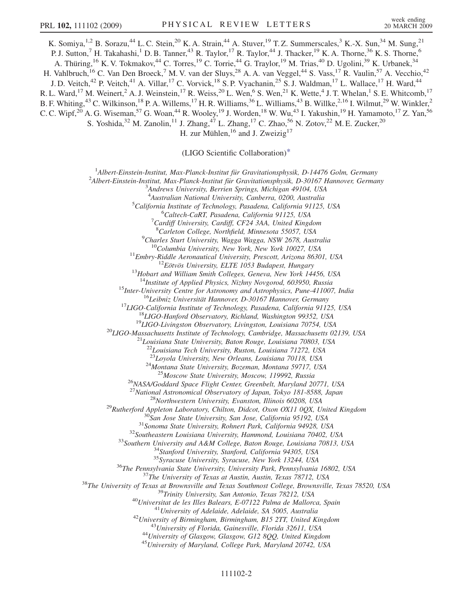<span id="page-1-0"></span>K. Somiya,<sup>1,2</sup> B. Sorazu,<sup>44</sup> L. C. Stein,<sup>20</sup> K. A. Strain,<sup>44</sup> A. Stuver,<sup>19</sup> T. Z. Summerscales,<sup>3</sup> K.-X. Sun,<sup>34</sup> M. Sung,<sup>21</sup> P. J. Sutton,<sup>7</sup> H. Takahashi,<sup>1</sup> D. B. Tanner,<sup>43</sup> R. Taylor,<sup>17</sup> R. Taylor,<sup>44</sup> J. Thacker,<sup>19</sup> K. A. Thorne,<sup>36</sup> K. S. Thorne,<sup>6</sup> A. Thüring,<sup>16</sup> K. V. Tokmakov,<sup>44</sup> C. Torres,<sup>19</sup> C. Torrie,<sup>44</sup> G. Traylor,<sup>19</sup> M. Trias,<sup>40</sup> D. Ugolini,<sup>39</sup> K. Urbanek,<sup>34</sup> H. Vahlbruch,<sup>16</sup> C. Van Den Broeck,<sup>7</sup> M. V. van der Sluys,<sup>28</sup> A. A. van Veggel,<sup>44</sup> S. Vass,<sup>17</sup> R. Vaulin,<sup>57</sup> A. Vecchio,<sup>42</sup> J. D. Veitch,<sup>42</sup> P. Veitch,<sup>41</sup> A. Villar,<sup>17</sup> C. Vorvick,<sup>18</sup> S. P. Vyachanin,<sup>25</sup> S. J. Waldman,<sup>17</sup> L. Wallace,<sup>17</sup> H. Ward,<sup>44</sup> R. L. Ward,<sup>17</sup> M. Weinert,<sup>2</sup> A. J. Weinstein,<sup>17</sup> R. Weiss,<sup>20</sup> L. Wen,<sup>6</sup> S. Wen,<sup>21</sup> K. Wette,<sup>4</sup> J. T. Whelan,<sup>1</sup> S. E. Whitcomb,<sup>17</sup> B. F. Whiting,<sup>43</sup> C. Wilkinson,<sup>18</sup> P. A. Willems,<sup>17</sup> H. R. Williams,<sup>36</sup> L. Williams,<sup>43</sup> B. Willke,<sup>2,16</sup> I. Wilmut,<sup>29</sup> W. Winkler,<sup>2</sup> C. C. Wipf,<sup>20</sup> A. G. Wiseman,<sup>57</sup> G. Woan,<sup>44</sup> R. Wooley,<sup>19</sup> J. Worden,<sup>18</sup> W. Wu,<sup>43</sup> I. Yakushin,<sup>19</sup> H. Yamamoto,<sup>17</sup> Z. Yan,<sup>56</sup> S. Yoshida,<sup>32</sup> M. Zanolin,<sup>11</sup> J. Zhang,<sup>47</sup> L. Zhang,<sup>17</sup> C. Zhao,<sup>56</sup> N. Zotov,<sup>22</sup> M. E. Zucker,<sup>20</sup> H. zur Mühlen,  $^{16}$  and J. Zweizig<sup>17</sup>

(LIGO Scientific Collaboration[\)\\*](#page-5-0)

<sup>1</sup> Albert-Einstein-Institut, Max-Planck-Institut für Gravitationsphysik, D-14476 Golm, Germany<br><sup>2</sup> Albert Einstein Institut, Max-Planck-Institut für Gravitationsphysik, D-20167 Hannover, Germa

<sup>2</sup>Albert-Einstein-Institut, Max-Planck-Institut für Gravitationsphysik, D-30167 Hannover, Germany

 $3$ Andrews University, Berrien Springs, Michigan 49104, USA

<sup>4</sup>Australian National University, Canberra, 0200, Australia <sup>4</sup> Australian National University, Canberra, 0200, Australia<br><sup>5</sup> California Institute of Technology, Pasadena, California 01125

California Institute of Technology, Pasadena, California 91125, USA<br><sup>6</sup>Caltech Ca<sup>p</sup>T, Pasadena, California 91125, USA

<sup>6</sup>Caltech-CaRT, Pasadena, California 91125, USA

 $\sigma$ <sup>7</sup>Cardiff University, Cardiff, CF24 3AA, United Kingdom

<sup>8</sup>Carleton College, Northfield, Minnesota 55057, USA

<sup>9</sup>Charles Sturt University, Wagga Wagga, NSW 2678, Australia

<sup>10</sup>Columbia University, New York, New York 10027, USA<br><sup>11</sup>Embry-Riddle Aeronautical University, Prescott, Arizona 86301, USA<br><sup>12</sup>Eötvös University, ELTE 1053 Budapest, Hungary<br><sup>13</sup>Hobart and William Smith Colleges, Genev

<sup>14</sup>Institute of Applied Physics, Nizhny Novgorod, 603950, Russia<br><sup>15</sup>Inter-University Centre for Astronomy and Astrophysics, Pune-411007, India<br><sup>16</sup>Leibniz Universität Hannover, D-30167 Hannover, Germany<br><sup>17</sup>LIGO-Califor

 $^{22}$ Louisiana Tech University, Ruston, Louisiana 71272, USA<br> $^{23}$ Loyola University, New Orleans, Louisiana 70118, USA

<sup>24</sup>Montana State University, Bozeman, Montana 59717, USA<br><sup>25</sup>Moscow State University, Moscow, 119992, Russia<br><sup>26</sup>NASA/Goddard Space Flight Center, Greenbelt, Maryland 20771, USA<br><sup>27</sup>National Astronomical Observatory of J

<sup>27</sup>National Astronomical Observatory of Japan, Tokyo 181-8588, Japan<br><sup>28</sup>Northwestern University, Evanston, Illinois 60208, USA<br><sup>29</sup>Rutherford Appleton Laboratory, Chilton, Didcot, Oxon OX11 0QX, United Kingdom<br><sup>30</sup>San J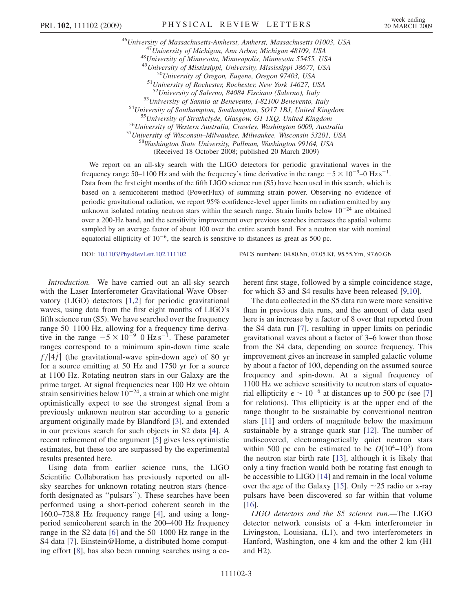<sup>46</sup>University of Massachusetts-Amherst, Amherst, Massachusetts 01003, USA<br><sup>47</sup>University of Michigan, Ann Arbor, Michigan 48109, USA<br><sup>48</sup>University of Minnesota, Minneapolis, Minnesota 55455, USA <sup>49</sup>University of Mississippi, University, Mississippi 38677, USA<br><sup>50</sup>University of Oregon, Eugene, Oregon 97403, USA<br><sup>51</sup>University of Rochester, Rochester, New York 14627, USA<br><sup>52</sup>University of Salerno, 84084 Fisciano ( <sup>53</sup>University of Sannio at Benevento, I-82100 Benevento, Italy<br><sup>54</sup>University of Southampton, Southampton, SO17 1BJ, United Kingdom<br><sup>55</sup>University of Strathclyde, Glasgow, G1 1XQ, United Kingdom<br><sup>55</sup>University of Western (Received 18 October 2008; published 20 March 2009)

We report on an all-sky search with the LIGO detectors for periodic gravitational waves in the frequency range 50–1100 Hz and with the frequency's time derivative in the range  $-5 \times 10^{-9}$ –0 Hz s<sup>-1</sup>. Data from the first eight months of the fifth LIGO science run (S5) have been used in this search, which is based on a semicoherent method (PowerFlux) of summing strain power. Observing no evidence of periodic gravitational radiation, we report 95% confidence-level upper limits on radiation emitted by any unknown isolated rotating neutron stars within the search range. Strain limits below  $10^{-24}$  are obtained over a 200-Hz band, and the sensitivity improvement over previous searches increases the spatial volume sampled by an average factor of about 100 over the entire search band. For a neutron star with nominal equatorial ellipticity of  $10^{-6}$ , the search is sensitive to distances as great as 500 pc.

DOI: [10.1103/PhysRevLett.102.111102](http://dx.doi.org/10.1103/PhysRevLett.102.111102) PACS numbers: 04.80.Nn, 07.05.Kf, 95.55.Ym, 97.60.Gb

Introduction.—We have carried out an all-sky search with the Laser Interferometer Gravitational-Wave Observatory (LIGO) detectors [\[1,2](#page-5-0)] for periodic gravitational waves, using data from the first eight months of LIGO's fifth science run (S5). We have searched over the frequency range 50–1100 Hz, allowing for a frequency time derivative in the range  $-5 \times 10^{-9} - 0$  Hz s<sup>-1</sup>. These parameter ranges correspond to a minimum spin-down time scale  $f/|4f|$  (the gravitational-wave spin-down age) of 80 yr for a source emitting at 50 Hz and 1750 yr for a source at 1100 Hz. Rotating neutron stars in our Galaxy are the prime target. At signal frequencies near 100 Hz we obtain strain sensitivities below  $10^{-24}$ , a strain at which one might optimistically expect to see the strongest signal from a previously unknown neutron star according to a generic argument originally made by Blandford [[3\]](#page-5-0), and extended in our previous search for such objects in S2 data [[4\]](#page-5-0). A recent refinement of the argument [[5\]](#page-5-0) gives less optimistic estimates, but these too are surpassed by the experimental results presented here.

Using data from earlier science runs, the LIGO Scientific Collaboration has previously reported on allsky searches for unknown rotating neutron stars (henceforth designated as ''pulsars''). These searches have been performed using a short-period coherent search in the 160.0–728.8 Hz frequency range [[4\]](#page-5-0), and using a longperiod semicoherent search in the 200–400 Hz frequency range in the S2 data [[6\]](#page-5-0) and the 50–1000 Hz range in the S4 data [\[7](#page-5-0)]. Einstein@Home, a distributed home computing effort [[8](#page-5-0)], has also been running searches using a coherent first stage, followed by a simple coincidence stage, for which S3 and S4 results have been released [[9](#page-5-0),[10](#page-5-0)].

The data collected in the S5 data run were more sensitive than in previous data runs, and the amount of data used here is an increase by a factor of 8 over that reported from the S4 data run [[7\]](#page-5-0), resulting in upper limits on periodic gravitational waves about a factor of 3–6 lower than those from the S4 data, depending on source frequency. This improvement gives an increase in sampled galactic volume by about a factor of 100, depending on the assumed source frequency and spin-down. At a signal frequency of 1100 Hz we achieve sensitivity to neutron stars of equatorial ellipticity  $\epsilon \sim 10^{-6}$  at distances up to 500 pc (see [\[7\]](#page-5-0) for relations). This ellipticity is at the upper end of the range thought to be sustainable by conventional neutron stars [[11](#page-5-0)] and orders of magnitude below the maximum sustainable by a strange quark star [\[12\]](#page-5-0). The number of undiscovered, electromagnetically quiet neutron stars within 500 pc can be estimated to be  $O(10^4-10^5)$  from the neutron star birth rate [\[13\]](#page-5-0), although it is likely that only a tiny fraction would both be rotating fast enough to be accessible to LIGO [[14](#page-5-0)] and remain in the local volume over the age of the Galaxy [\[15\]](#page-5-0). Only  $\sim$ 25 radio or x-ray pulsars have been discovered so far within that volume [\[16\]](#page-5-0).

LIGO detectors and the S5 science run.—The LIGO detector network consists of a 4-km interferometer in Livingston, Louisiana, (L1), and two interferometers in Hanford, Washington, one 4 km and the other 2 km (H1 and H2).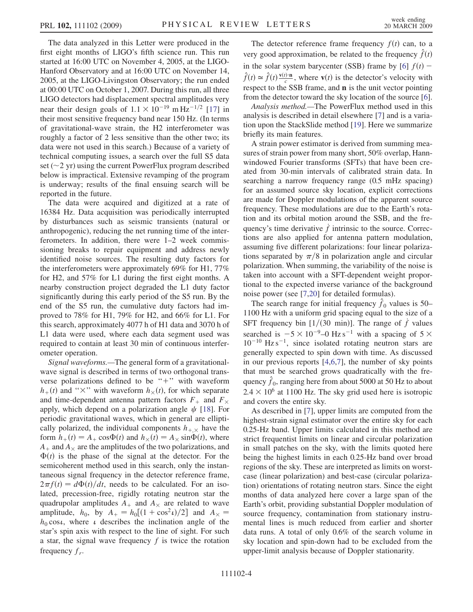The data analyzed in this Letter were produced in the first eight months of LIGO's fifth science run. This run started at 16:00 UTC on November 4, 2005, at the LIGO-Hanford Observatory and at 16:00 UTC on November 14, 2005, at the LIGO-Livingston Observatory; the run ended at 00:00 UTC on October 1, 2007. During this run, all three LIGO detectors had displacement spectral amplitudes very near their design goals of  $1.1 \times 10^{-19}$  mHz<sup>-1/2</sup> [[17](#page-5-0)] in their most sensitive frequency band near 150 Hz. (In terms of gravitational-wave strain, the H2 interferometer was roughly a factor of 2 less sensitive than the other two; its data were not used in this search.) Because of a variety of technical computing issues, a search over the full S5 data set ( $\sim$ 2 yr) using the current PowerFlux program described below is impractical. Extensive revamping of the program is underway; results of the final ensuing search will be reported in the future.

The data were acquired and digitized at a rate of 16384 Hz. Data acquisition was periodically interrupted by disturbances such as seismic transients (natural or anthropogenic), reducing the net running time of the interferometers. In addition, there were 1–2 week commissioning breaks to repair equipment and address newly identified noise sources. The resulting duty factors for the interferometers were approximately 69% for H1, 77% for H2, and 57% for L1 during the first eight months. A nearby construction project degraded the L1 duty factor significantly during this early period of the S5 run. By the end of the S5 run, the cumulative duty factors had improved to 78% for H1, 79% for H2, and 66% for L1. For this search, approximately 4077 h of H1 data and 3070 h of L1 data were used, where each data segment used was required to contain at least 30 min of continuous interferometer operation.

Signal waveforms.—The general form of a gravitationalwave signal is described in terms of two orthogonal transverse polarizations defined to be " $+$ " with waveform  $h_{+}(t)$  and " $\times$ " with waveform  $h_{\times}(t)$ , for which separate and time-dependent antenna pattern factors  $F_+$  and  $F_{\times}$ apply, which depend on a polarization angle  $\psi$  [\[18\]](#page-5-0). For periodic gravitational waves, which in general are elliptically polarized, the individual components  $h_{+,\times}$  have the form  $h_+(t) = A_+ \cos \Phi(t)$  and  $h_\times(t) = A_\times \sin \Phi(t)$ , where  $A_+$  and  $A_\times$  are the amplitudes of the two polarizations, and  $\Phi(t)$  is the phase of the signal at the detector. For the semicoherent method used in this search, only the instantaneous signal frequency in the detector reference frame,  $2\pi f(t) = d\Phi(t)/dt$ , needs to be calculated. For an isolated, precession-free, rigidly rotating neutron star the quadrupolar amplitudes  $A_+$  and  $A_\times$  are related to wave amplitude,  $h_0$ , by  $A_+ = h_0[(1 + \cos^2 \theta)/2]$  and  $A_\times =$  $h_0 \cos \iota$ , where  $\iota$  describes the inclination angle of the star's spin axis with respect to the line of sight. For such a star, the signal wave frequency  $f$  is twice the rotation frequency  $f_r$ .

The detector reference frame frequency  $f(t)$  can, to a very good approximation, be related to the frequency  $\hat{f}(t)$ in the solar system barycenter (SSB) frame by [[6\]](#page-5-0)  $f(t)$  –  $\hat{f}(t) \approx \hat{f}(t) \frac{\mathbf{v}(t) \cdot \mathbf{n}}{c}$ , where  $\mathbf{v}(t)$  is the detector's velocity with respect to the SSB frame, and n is the unit vector pointing from the detector toward the sky location of the source [[6\]](#page-5-0).

Analysis method.—The PowerFlux method used in this analysis is described in detail elsewhere [\[7](#page-5-0)] and is a variation upon the StackSlide method [[19\]](#page-5-0). Here we summarize briefly its main features.

A strain power estimator is derived from summing measures of strain power from many short, 50% overlap, Hannwindowed Fourier transforms (SFTs) that have been created from 30-min intervals of calibrated strain data. In searching a narrow frequency range (0.5 mHz spacing) for an assumed source sky location, explicit corrections are made for Doppler modulations of the apparent source frequency. These modulations are due to the Earth's rotation and its orbital motion around the SSB, and the frequency's time derivative  $\dot{f}$  intrinsic to the source. Corrections are also applied for antenna pattern modulation, assuming five different polarizations: four linear polarizations separated by  $\pi/8$  in polarization angle and circular polarization. When summing, the variability of the noise is taken into account with a SFT-dependent weight proportional to the expected inverse variance of the background noise power (see [\[7,20\]](#page-5-0) for detailed formulas).

The search range for initial frequency  $\hat{f}_0$  values is 50– 1100 Hz with a uniform grid spacing equal to the size of a SFT frequency bin [1/(30 min)]. The range of  $\dot{f}$  values searched is  $-5 \times 10^{-9} - 0$  Hz s<sup>-1</sup> with a spacing of  $5 \times 10^{-10}$  $10^{-10}$  Hz s<sup>-1</sup>, since isolated rotating neutron stars are generally expected to spin down with time. As discussed in our previous reports [[4,6,7](#page-5-0)], the number of sky points that must be searched grows quadratically with the frequency  $\hat{f}_0$ , ranging here from about 5000 at 50 Hz to about  $2.4 \times 10^6$  at 1100 Hz. The sky grid used here is isotropic and covers the entire sky.

As described in [\[7](#page-5-0)], upper limits are computed from the highest-strain signal estimator over the entire sky for each 0.25-Hz band. Upper limits calculated in this method are strict frequentist limits on linear and circular polarization in small patches on the sky, with the limits quoted here being the highest limits in each 0.25-Hz band over broad regions of the sky. These are interpreted as limits on worstcase (linear polarization) and best-case (circular polarization) orientations of rotating neutron stars. Since the eight months of data analyzed here cover a large span of the Earth's orbit, providing substantial Doppler modulation of source frequency, contamination from stationary instrumental lines is much reduced from earlier and shorter data runs. A total of only 0.6% of the search volume in sky location and spin-down had to be excluded from the upper-limit analysis because of Doppler stationarity.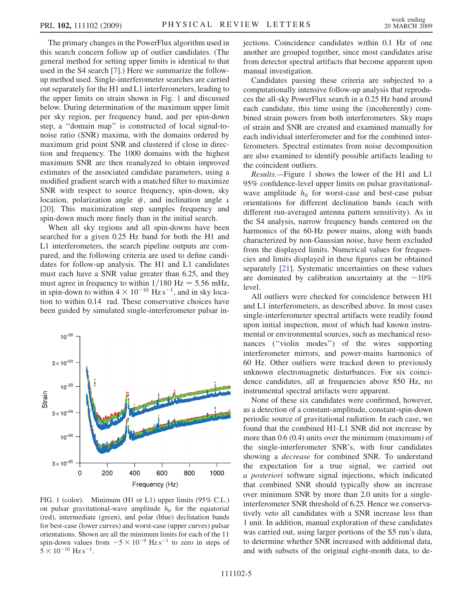<span id="page-4-0"></span>The primary changes in the PowerFlux algorithm used in this search concern follow up of outlier candidates. (The general method for setting upper limits is identical to that used in the S4 search [[7](#page-5-0)].) Here we summarize the followup method used. Single-interferometer searches are carried out separately for the H1 and L1 interferometers, leading to the upper limits on strain shown in Fig. 1 and discussed below. During determination of the maximum upper limit per sky region, per frequency band, and per spin-down step, a ''domain map'' is constructed of local signal-tonoise ratio (SNR) maxima, with the domains ordered by maximum grid point SNR and clustered if close in direction and frequency. The 1000 domains with the highest maximum SNR are then reanalyzed to obtain improved estimates of the associated candidate parameters, using a modified gradient search with a matched filter to maximize SNR with respect to source frequency, spin-down, sky location, polarization angle  $\psi$ , and inclination angle  $\iota$ [\[20\]](#page-5-0). This maximization step samples frequency and spin-down much more finely than in the initial search.

When all sky regions and all spin-downs have been searched for a given 0.25 Hz band for both the H1 and L1 interferometers, the search pipeline outputs are compared, and the following criteria are used to define candidates for follow-up analysis. The H1 and L1 candidates must each have a SNR value greater than 6.25, and they must agree in frequency to within  $1/180$  Hz = 5.56 mHz, in spin-down to within  $4 \times 10^{-10}$  Hz s<sup>-1</sup>, and in sky location to within 0.14 rad. These conservative choices have been guided by simulated single-interferometer pulsar in-



FIG. 1 (color). Minimum (H1 or L1) upper limits (95% C.L.) on pulsar gravitational-wave amplitude  $h_0$  for the equatorial (red), intermediate (green), and polar (blue) declination bands for best-case (lower curves) and worst-case (upper curves) pulsar orientations. Shown are all the minimum limits for each of the 11 spin-down values from  $-5 \times 10^{-9}$  Hz s<sup>-1</sup> to zero in steps of  $5 \times 10^{-10}$  Hz s<sup>-1</sup>.

jections. Coincidence candidates within 0.1 Hz of one another are grouped together, since most candidates arise from detector spectral artifacts that become apparent upon manual investigation.

Candidates passing these criteria are subjected to a computationally intensive follow-up analysis that reproduces the all-sky PowerFlux search in a 0.25 Hz band around each candidate, this time using the (incoherently) combined strain powers from both interferometers. Sky maps of strain and SNR are created and examined manually for each individual interferometer and for the combined interferometers. Spectral estimates from noise decomposition are also examined to identify possible artifacts leading to the coincident outliers.

Results.—Figure 1 shows the lower of the H1 and L1 95% confidence-level upper limits on pulsar gravitationalwave amplitude  $h_0$  for worst-case and best-case pulsar orientations for different declination bands (each with different run-averaged antenna pattern sensitivity). As in the S4 analysis, narrow frequency bands centered on the harmonics of the 60-Hz power mains, along with bands characterized by non-Gaussian noise, have been excluded from the displayed limits. Numerical values for frequencies and limits displayed in these figures can be obtained separately [\[21\]](#page-5-0). Systematic uncertainties on these values are dominated by calibration uncertainty at the  $\sim 10\%$ level.

All outliers were checked for coincidence between H1 and L1 interferometers, as described above. In most cases single-interferometer spectral artifacts were readily found upon initial inspection, most of which had known instrumental or environmental sources, such as mechanical resonances (''violin modes'') of the wires supporting interferometer mirrors, and power-mains harmonics of 60 Hz. Other outliers were tracked down to previously unknown electromagnetic disturbances. For six coincidence candidates, all at frequencies above 850 Hz, no instrumental spectral artifacts were apparent.

None of these six candidates were confirmed, however, as a detection of a constant-amplitude, constant-spin-down periodic source of gravitational radiation. In each case, we found that the combined H1-L1 SNR did not increase by more than 0.6 (0.4) units over the minimum (maximum) of the single-interferometer SNR's, with four candidates showing a decrease for combined SNR. To understand the expectation for a true signal, we carried out a posteriori software signal injections, which indicated that combined SNR should typically show an increase over minimum SNR by more than 2.0 units for a singleinterferometer SNR threshold of 6.25. Hence we conservatively veto all candidates with a SNR increase less than 1 unit. In addition, manual exploration of these candidates was carried out, using larger portions of the S5 run's data, to determine whether SNR increased with additional data, and with subsets of the original eight-month data, to de